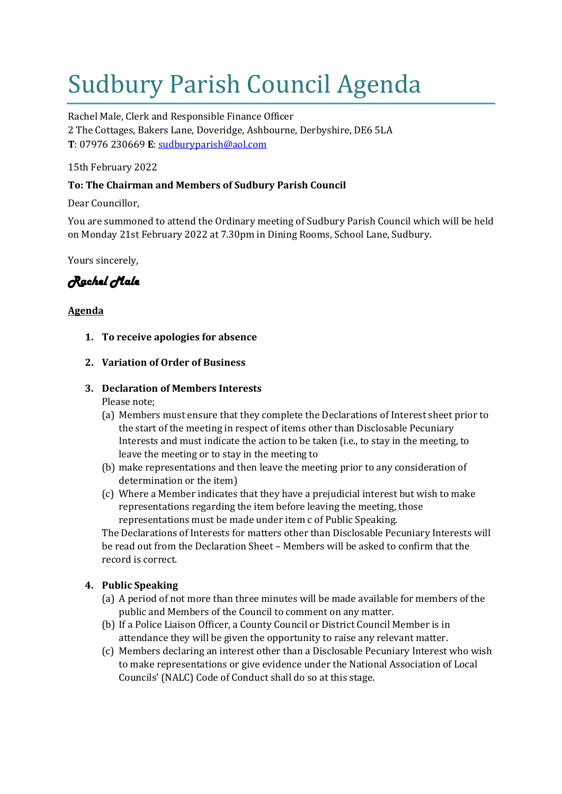# Sudbury Parish Council Agenda

Rachel Male, Clerk and Responsible Finance Officer 2 The Cottages, Bakers Lane, Doveridge, Ashbourne, Derbyshire, DE6 5LA **T**: 07976 230669 **E**: [sudburyparish@aol.com](mailto:sudburyparish@aol.com)

15th February 2022

# **To: The Chairman and Members of Sudbury Parish Council**

Dear Councillor,

You are summoned to attend the Ordinary meeting of Sudbury Parish Council which will be held on Monday 21st February 2022 at 7.30pm in Dining Rooms, School Lane, Sudbury.

Yours sincerely,

*Rachel Male* 

# **Agenda**

- **1. To receive apologies for absence**
- **2. Variation of Order of Business**
- **3. Declaration of Members Interests** Please note;
	- (a) Members must ensure that they complete the Declarations of Interest sheet prior to the start of the meeting in respect of items other than Disclosable Pecuniary Interests and must indicate the action to be taken (i.e., to stay in the meeting, to leave the meeting or to stay in the meeting to
	- (b) make representations and then leave the meeting prior to any consideration of determination or the item)
	- (c) Where a Member indicates that they have a prejudicial interest but wish to make representations regarding the item before leaving the meeting, those representations must be made under item c of Public Speaking.

The Declarations of Interests for matters other than Disclosable Pecuniary Interests will be read out from the Declaration Sheet – Members will be asked to confirm that the record is correct.

# **4. Public Speaking**

- (a) A period of not more than three minutes will be made available for members of the public and Members of the Council to comment on any matter.
- (b) If a Police Liaison Officer, a County Council or District Council Member is in attendance they will be given the opportunity to raise any relevant matter.
- (c) Members declaring an interest other than a Disclosable Pecuniary Interest who wish to make representations or give evidence under the National Association of Local Councils' (NALC) Code of Conduct shall do so at this stage.